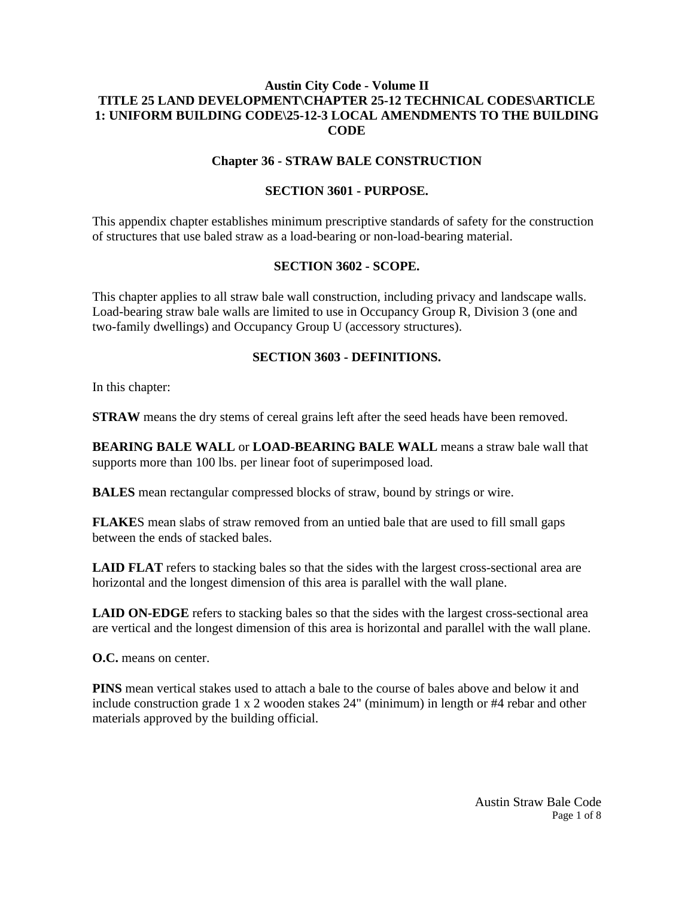# **Austin City Code - Volume II TITLE 25 LAND DEVELOPMENT\CHAPTER 25-12 TECHNICAL CODES\ARTICLE 1: UNIFORM BUILDING CODE\25-12-3 LOCAL AMENDMENTS TO THE BUILDING CODE**

### **Chapter 36 - STRAW BALE CONSTRUCTION**

#### **SECTION 3601 - PURPOSE.**

This appendix chapter establishes minimum prescriptive standards of safety for the construction of structures that use baled straw as a load-bearing or non-load-bearing material.

#### **SECTION 3602 - SCOPE.**

This chapter applies to all straw bale wall construction, including privacy and landscape walls. Load-bearing straw bale walls are limited to use in Occupancy Group R, Division 3 (one and two-family dwellings) and Occupancy Group U (accessory structures).

### **SECTION 3603 - DEFINITIONS.**

In this chapter:

**STRAW** means the dry stems of cereal grains left after the seed heads have been removed.

**BEARING BALE WALL** or **LOAD-BEARING BALE WALL** means a straw bale wall that supports more than 100 lbs. per linear foot of superimposed load.

**BALES** mean rectangular compressed blocks of straw, bound by strings or wire.

**FLAKE**S mean slabs of straw removed from an untied bale that are used to fill small gaps between the ends of stacked bales.

**LAID FLAT** refers to stacking bales so that the sides with the largest cross-sectional area are horizontal and the longest dimension of this area is parallel with the wall plane.

**LAID ON-EDGE** refers to stacking bales so that the sides with the largest cross-sectional area are vertical and the longest dimension of this area is horizontal and parallel with the wall plane.

**O.C.** means on center.

**PINS** mean vertical stakes used to attach a bale to the course of bales above and below it and include construction grade 1 x 2 wooden stakes 24" (minimum) in length or #4 rebar and other materials approved by the building official.

> Austin Straw Bale Code Page 1 of 8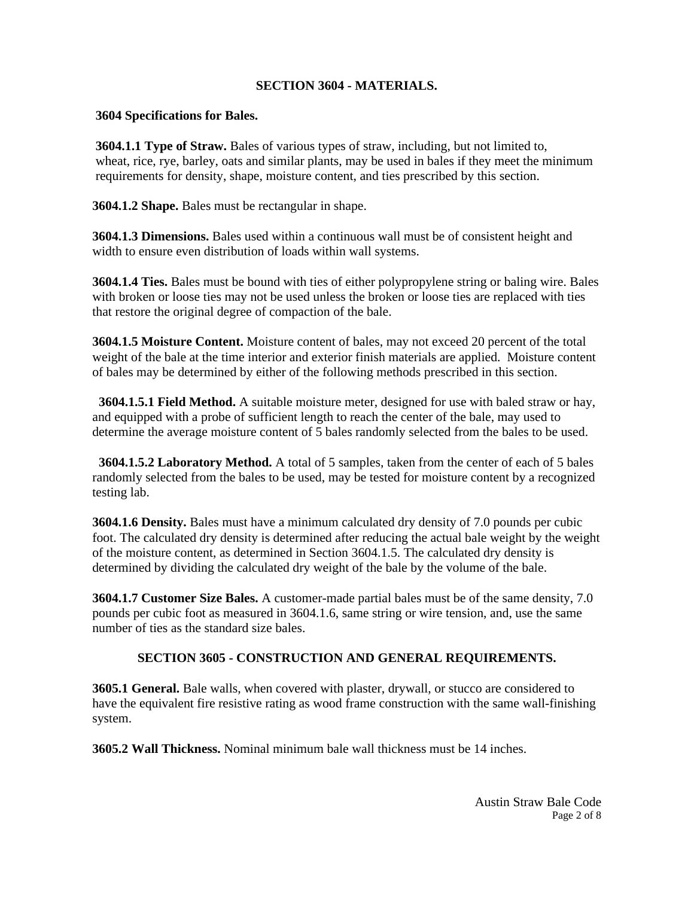## **SECTION 3604 - MATERIALS.**

#### **3604 Specifications for Bales.**

 **3604.1.1 Type of Straw.** Bales of various types of straw, including, but not limited to, wheat, rice, rye, barley, oats and similar plants, may be used in bales if they meet the minimum requirements for density, shape, moisture content, and ties prescribed by this section.

**3604.1.2 Shape.** Bales must be rectangular in shape.

**3604.1.3 Dimensions.** Bales used within a continuous wall must be of consistent height and width to ensure even distribution of loads within wall systems.

**3604.1.4 Ties.** Bales must be bound with ties of either polypropylene string or baling wire. Bales with broken or loose ties may not be used unless the broken or loose ties are replaced with ties that restore the original degree of compaction of the bale.

**3604.1.5 Moisture Content.** Moisture content of bales, may not exceed 20 percent of the total weight of the bale at the time interior and exterior finish materials are applied. Moisture content of bales may be determined by either of the following methods prescribed in this section.

 **3604.1.5.1 Field Method.** A suitable moisture meter, designed for use with baled straw or hay, and equipped with a probe of sufficient length to reach the center of the bale, may used to determine the average moisture content of 5 bales randomly selected from the bales to be used.

 **3604.1.5.2 Laboratory Method.** A total of 5 samples, taken from the center of each of 5 bales randomly selected from the bales to be used, may be tested for moisture content by a recognized testing lab.

**3604.1.6 Density.** Bales must have a minimum calculated dry density of 7.0 pounds per cubic foot. The calculated dry density is determined after reducing the actual bale weight by the weight of the moisture content, as determined in Section 3604.1.5. The calculated dry density is determined by dividing the calculated dry weight of the bale by the volume of the bale.

**3604.1.7 Customer Size Bales.** A customer-made partial bales must be of the same density, 7.0 pounds per cubic foot as measured in 3604.1.6, same string or wire tension, and, use the same number of ties as the standard size bales.

# **SECTION 3605 - CONSTRUCTION AND GENERAL REQUIREMENTS.**

**3605.1 General.** Bale walls, when covered with plaster, drywall, or stucco are considered to have the equivalent fire resistive rating as wood frame construction with the same wall-finishing system.

**3605.2 Wall Thickness.** Nominal minimum bale wall thickness must be 14 inches.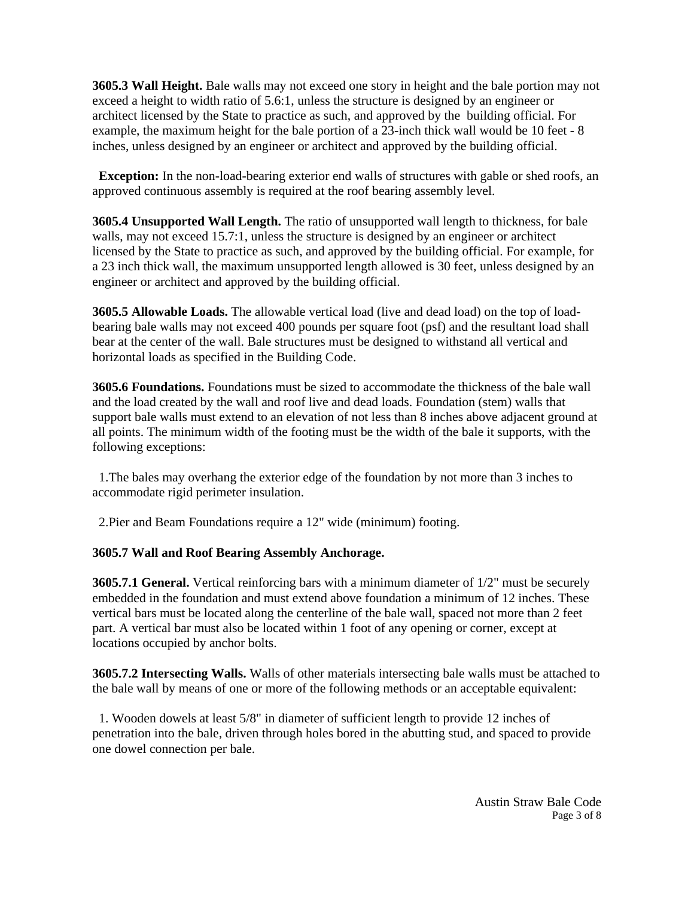**3605.3 Wall Height.** Bale walls may not exceed one story in height and the bale portion may not exceed a height to width ratio of 5.6:1, unless the structure is designed by an engineer or architect licensed by the State to practice as such, and approved by the building official. For example, the maximum height for the bale portion of a 23-inch thick wall would be 10 feet - 8 inches, unless designed by an engineer or architect and approved by the building official.

**Exception:** In the non-load-bearing exterior end walls of structures with gable or shed roofs, an approved continuous assembly is required at the roof bearing assembly level.

**3605.4 Unsupported Wall Length.** The ratio of unsupported wall length to thickness, for bale walls, may not exceed 15.7:1, unless the structure is designed by an engineer or architect licensed by the State to practice as such, and approved by the building official. For example, for a 23 inch thick wall, the maximum unsupported length allowed is 30 feet, unless designed by an engineer or architect and approved by the building official.

**3605.5 Allowable Loads.** The allowable vertical load (live and dead load) on the top of loadbearing bale walls may not exceed 400 pounds per square foot (psf) and the resultant load shall bear at the center of the wall. Bale structures must be designed to withstand all vertical and horizontal loads as specified in the Building Code.

**3605.6 Foundations.** Foundations must be sized to accommodate the thickness of the bale wall and the load created by the wall and roof live and dead loads. Foundation (stem) walls that support bale walls must extend to an elevation of not less than 8 inches above adjacent ground at all points. The minimum width of the footing must be the width of the bale it supports, with the following exceptions:

 1.The bales may overhang the exterior edge of the foundation by not more than 3 inches to accommodate rigid perimeter insulation.

2.Pier and Beam Foundations require a 12" wide (minimum) footing.

# **3605.7 Wall and Roof Bearing Assembly Anchorage.**

**3605.7.1 General.** Vertical reinforcing bars with a minimum diameter of 1/2" must be securely embedded in the foundation and must extend above foundation a minimum of 12 inches. These vertical bars must be located along the centerline of the bale wall, spaced not more than 2 feet part. A vertical bar must also be located within 1 foot of any opening or corner, except at locations occupied by anchor bolts.

**3605.7.2 Intersecting Walls.** Walls of other materials intersecting bale walls must be attached to the bale wall by means of one or more of the following methods or an acceptable equivalent:

 1. Wooden dowels at least 5/8" in diameter of sufficient length to provide 12 inches of penetration into the bale, driven through holes bored in the abutting stud, and spaced to provide one dowel connection per bale.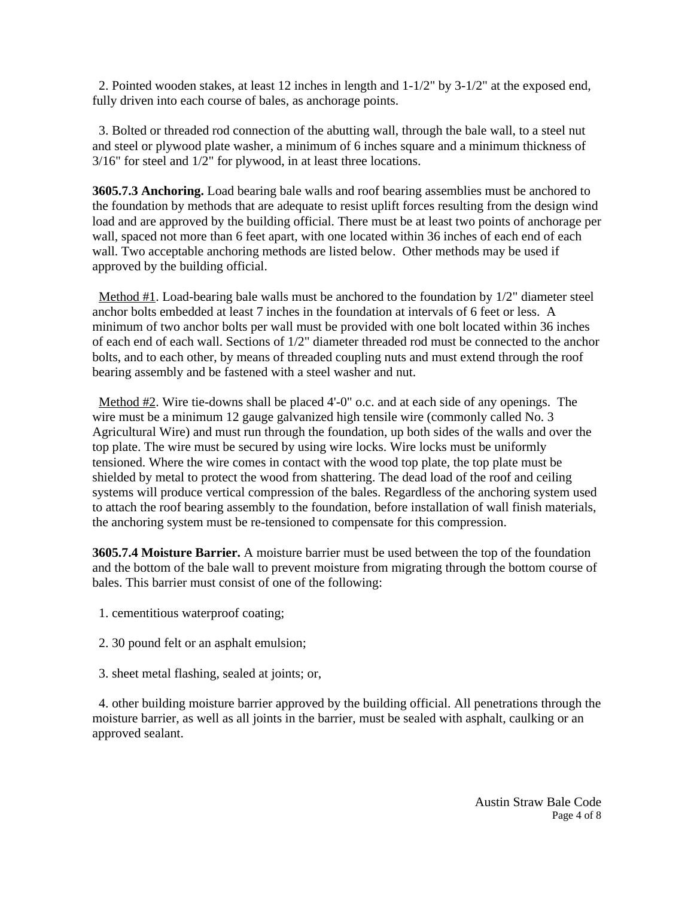2. Pointed wooden stakes, at least 12 inches in length and 1-1/2" by 3-1/2" at the exposed end, fully driven into each course of bales, as anchorage points.

 3. Bolted or threaded rod connection of the abutting wall, through the bale wall, to a steel nut and steel or plywood plate washer, a minimum of 6 inches square and a minimum thickness of 3/16" for steel and 1/2" for plywood, in at least three locations.

**3605.7.3 Anchoring.** Load bearing bale walls and roof bearing assemblies must be anchored to the foundation by methods that are adequate to resist uplift forces resulting from the design wind load and are approved by the building official. There must be at least two points of anchorage per wall, spaced not more than 6 feet apart, with one located within 36 inches of each end of each wall. Two acceptable anchoring methods are listed below. Other methods may be used if approved by the building official.

Method  $#1$ . Load-bearing bale walls must be anchored to the foundation by  $1/2$ " diameter steel anchor bolts embedded at least 7 inches in the foundation at intervals of 6 feet or less. A minimum of two anchor bolts per wall must be provided with one bolt located within 36 inches of each end of each wall. Sections of 1/2" diameter threaded rod must be connected to the anchor bolts, and to each other, by means of threaded coupling nuts and must extend through the roof bearing assembly and be fastened with a steel washer and nut.

 Method #2. Wire tie-downs shall be placed 4'-0" o.c. and at each side of any openings. The wire must be a minimum 12 gauge galvanized high tensile wire (commonly called No. 3 Agricultural Wire) and must run through the foundation, up both sides of the walls and over the top plate. The wire must be secured by using wire locks. Wire locks must be uniformly tensioned. Where the wire comes in contact with the wood top plate, the top plate must be shielded by metal to protect the wood from shattering. The dead load of the roof and ceiling systems will produce vertical compression of the bales. Regardless of the anchoring system used to attach the roof bearing assembly to the foundation, before installation of wall finish materials, the anchoring system must be re-tensioned to compensate for this compression.

**3605.7.4 Moisture Barrier.** A moisture barrier must be used between the top of the foundation and the bottom of the bale wall to prevent moisture from migrating through the bottom course of bales. This barrier must consist of one of the following:

- 1. cementitious waterproof coating;
- 2. 30 pound felt or an asphalt emulsion;
- 3. sheet metal flashing, sealed at joints; or,

 4. other building moisture barrier approved by the building official. All penetrations through the moisture barrier, as well as all joints in the barrier, must be sealed with asphalt, caulking or an approved sealant.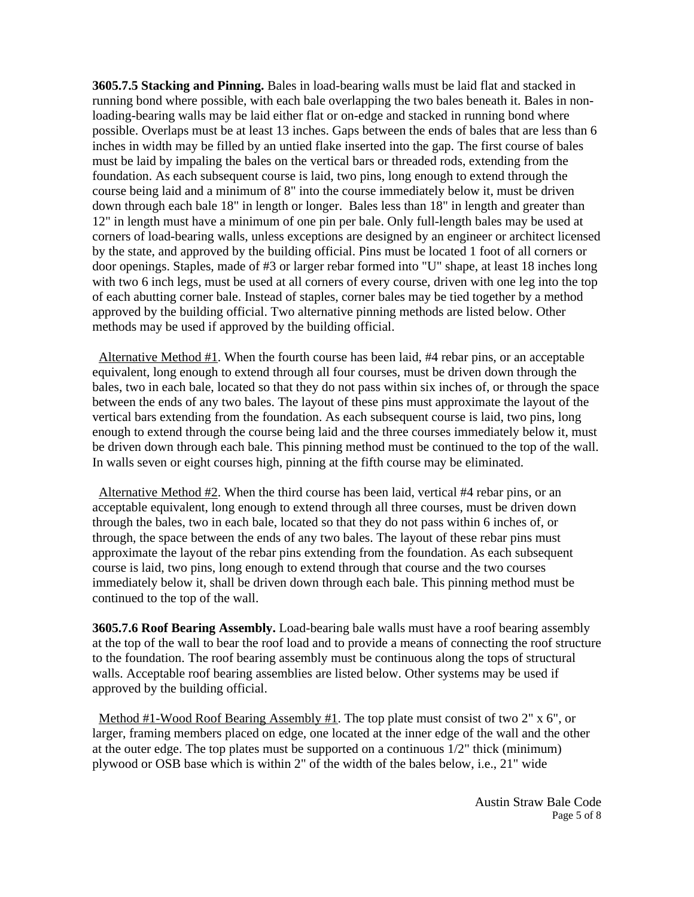**3605.7.5 Stacking and Pinning.** Bales in load-bearing walls must be laid flat and stacked in running bond where possible, with each bale overlapping the two bales beneath it. Bales in nonloading-bearing walls may be laid either flat or on-edge and stacked in running bond where possible. Overlaps must be at least 13 inches. Gaps between the ends of bales that are less than 6 inches in width may be filled by an untied flake inserted into the gap. The first course of bales must be laid by impaling the bales on the vertical bars or threaded rods, extending from the foundation. As each subsequent course is laid, two pins, long enough to extend through the course being laid and a minimum of 8" into the course immediately below it, must be driven down through each bale 18" in length or longer. Bales less than 18" in length and greater than 12" in length must have a minimum of one pin per bale. Only full-length bales may be used at corners of load-bearing walls, unless exceptions are designed by an engineer or architect licensed by the state, and approved by the building official. Pins must be located 1 foot of all corners or door openings. Staples, made of #3 or larger rebar formed into "U" shape, at least 18 inches long with two 6 inch legs, must be used at all corners of every course, driven with one leg into the top of each abutting corner bale. Instead of staples, corner bales may be tied together by a method approved by the building official. Two alternative pinning methods are listed below. Other methods may be used if approved by the building official.

 Alternative Method #1. When the fourth course has been laid, #4 rebar pins, or an acceptable equivalent, long enough to extend through all four courses, must be driven down through the bales, two in each bale, located so that they do not pass within six inches of, or through the space between the ends of any two bales. The layout of these pins must approximate the layout of the vertical bars extending from the foundation. As each subsequent course is laid, two pins, long enough to extend through the course being laid and the three courses immediately below it, must be driven down through each bale. This pinning method must be continued to the top of the wall. In walls seven or eight courses high, pinning at the fifth course may be eliminated.

 Alternative Method #2. When the third course has been laid, vertical #4 rebar pins, or an acceptable equivalent, long enough to extend through all three courses, must be driven down through the bales, two in each bale, located so that they do not pass within 6 inches of, or through, the space between the ends of any two bales. The layout of these rebar pins must approximate the layout of the rebar pins extending from the foundation. As each subsequent course is laid, two pins, long enough to extend through that course and the two courses immediately below it, shall be driven down through each bale. This pinning method must be continued to the top of the wall.

**3605.7.6 Roof Bearing Assembly.** Load-bearing bale walls must have a roof bearing assembly at the top of the wall to bear the roof load and to provide a means of connecting the roof structure to the foundation. The roof bearing assembly must be continuous along the tops of structural walls. Acceptable roof bearing assemblies are listed below. Other systems may be used if approved by the building official.

 Method #1-Wood Roof Bearing Assembly #1. The top plate must consist of two 2" x 6", or larger, framing members placed on edge, one located at the inner edge of the wall and the other at the outer edge. The top plates must be supported on a continuous 1/2" thick (minimum) plywood or OSB base which is within 2" of the width of the bales below, i.e., 21" wide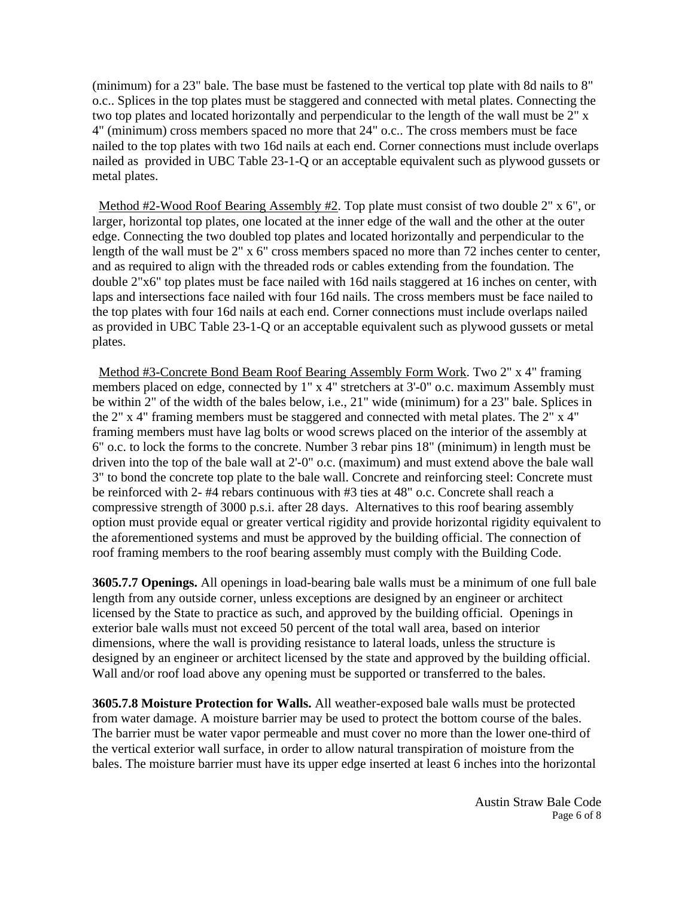(minimum) for a 23" bale. The base must be fastened to the vertical top plate with 8d nails to 8" o.c.. Splices in the top plates must be staggered and connected with metal plates. Connecting the two top plates and located horizontally and perpendicular to the length of the wall must be 2" x 4" (minimum) cross members spaced no more that 24" o.c.. The cross members must be face nailed to the top plates with two 16d nails at each end. Corner connections must include overlaps nailed as provided in UBC Table 23-1-Q or an acceptable equivalent such as plywood gussets or metal plates.

 Method #2-Wood Roof Bearing Assembly #2. Top plate must consist of two double 2" x 6", or larger, horizontal top plates, one located at the inner edge of the wall and the other at the outer edge. Connecting the two doubled top plates and located horizontally and perpendicular to the length of the wall must be 2" x 6" cross members spaced no more than 72 inches center to center, and as required to align with the threaded rods or cables extending from the foundation. The double 2"x6" top plates must be face nailed with 16d nails staggered at 16 inches on center, with laps and intersections face nailed with four 16d nails. The cross members must be face nailed to the top plates with four 16d nails at each end. Corner connections must include overlaps nailed as provided in UBC Table 23-1-Q or an acceptable equivalent such as plywood gussets or metal plates.

 Method #3-Concrete Bond Beam Roof Bearing Assembly Form Work. Two 2" x 4" framing members placed on edge, connected by 1" x 4" stretchers at 3'-0" o.c. maximum Assembly must be within 2" of the width of the bales below, i.e., 21" wide (minimum) for a 23" bale. Splices in the 2" x 4" framing members must be staggered and connected with metal plates. The 2" x 4" framing members must have lag bolts or wood screws placed on the interior of the assembly at 6" o.c. to lock the forms to the concrete. Number 3 rebar pins 18" (minimum) in length must be driven into the top of the bale wall at 2'-0" o.c. (maximum) and must extend above the bale wall 3" to bond the concrete top plate to the bale wall. Concrete and reinforcing steel: Concrete must be reinforced with 2- #4 rebars continuous with #3 ties at 48" o.c. Concrete shall reach a compressive strength of 3000 p.s.i. after 28 days. Alternatives to this roof bearing assembly option must provide equal or greater vertical rigidity and provide horizontal rigidity equivalent to the aforementioned systems and must be approved by the building official. The connection of roof framing members to the roof bearing assembly must comply with the Building Code.

**3605.7.7 Openings.** All openings in load-bearing bale walls must be a minimum of one full bale length from any outside corner, unless exceptions are designed by an engineer or architect licensed by the State to practice as such, and approved by the building official. Openings in exterior bale walls must not exceed 50 percent of the total wall area, based on interior dimensions, where the wall is providing resistance to lateral loads, unless the structure is designed by an engineer or architect licensed by the state and approved by the building official. Wall and/or roof load above any opening must be supported or transferred to the bales.

**3605.7.8 Moisture Protection for Walls.** All weather-exposed bale walls must be protected from water damage. A moisture barrier may be used to protect the bottom course of the bales. The barrier must be water vapor permeable and must cover no more than the lower one-third of the vertical exterior wall surface, in order to allow natural transpiration of moisture from the bales. The moisture barrier must have its upper edge inserted at least 6 inches into the horizontal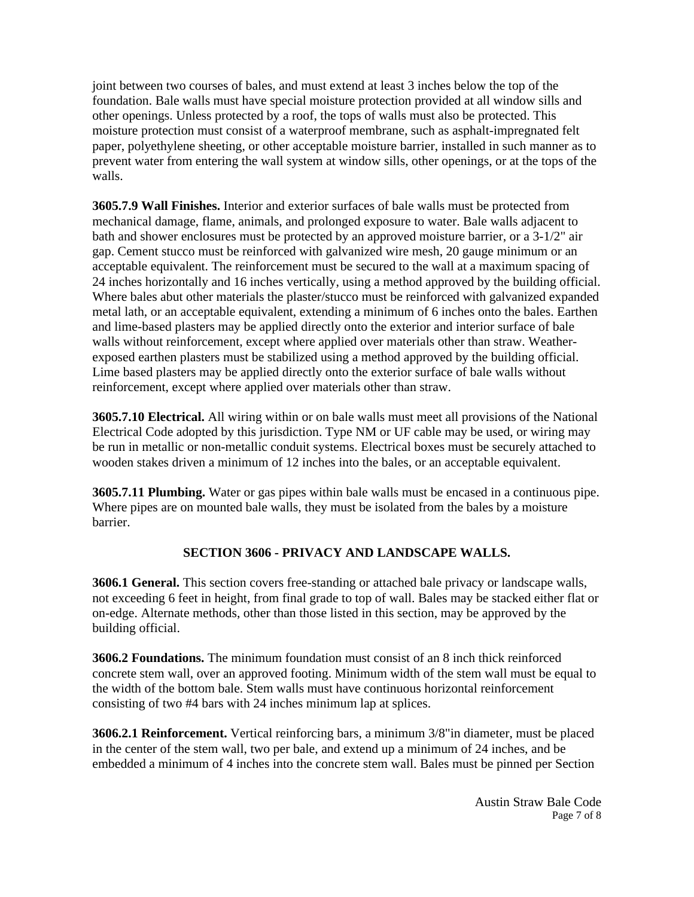joint between two courses of bales, and must extend at least 3 inches below the top of the foundation. Bale walls must have special moisture protection provided at all window sills and other openings. Unless protected by a roof, the tops of walls must also be protected. This moisture protection must consist of a waterproof membrane, such as asphalt-impregnated felt paper, polyethylene sheeting, or other acceptable moisture barrier, installed in such manner as to prevent water from entering the wall system at window sills, other openings, or at the tops of the walls.

**3605.7.9 Wall Finishes.** Interior and exterior surfaces of bale walls must be protected from mechanical damage, flame, animals, and prolonged exposure to water. Bale walls adjacent to bath and shower enclosures must be protected by an approved moisture barrier, or a 3-1/2" air gap. Cement stucco must be reinforced with galvanized wire mesh, 20 gauge minimum or an acceptable equivalent. The reinforcement must be secured to the wall at a maximum spacing of 24 inches horizontally and 16 inches vertically, using a method approved by the building official. Where bales abut other materials the plaster/stucco must be reinforced with galvanized expanded metal lath, or an acceptable equivalent, extending a minimum of 6 inches onto the bales. Earthen and lime-based plasters may be applied directly onto the exterior and interior surface of bale walls without reinforcement, except where applied over materials other than straw. Weatherexposed earthen plasters must be stabilized using a method approved by the building official. Lime based plasters may be applied directly onto the exterior surface of bale walls without reinforcement, except where applied over materials other than straw.

**3605.7.10 Electrical.** All wiring within or on bale walls must meet all provisions of the National Electrical Code adopted by this jurisdiction. Type NM or UF cable may be used, or wiring may be run in metallic or non-metallic conduit systems. Electrical boxes must be securely attached to wooden stakes driven a minimum of 12 inches into the bales, or an acceptable equivalent.

**3605.7.11 Plumbing.** Water or gas pipes within bale walls must be encased in a continuous pipe. Where pipes are on mounted bale walls, they must be isolated from the bales by a moisture barrier.

# **SECTION 3606 - PRIVACY AND LANDSCAPE WALLS.**

**3606.1 General.** This section covers free-standing or attached bale privacy or landscape walls, not exceeding 6 feet in height, from final grade to top of wall. Bales may be stacked either flat or on-edge. Alternate methods, other than those listed in this section, may be approved by the building official.

**3606.2 Foundations.** The minimum foundation must consist of an 8 inch thick reinforced concrete stem wall, over an approved footing. Minimum width of the stem wall must be equal to the width of the bottom bale. Stem walls must have continuous horizontal reinforcement consisting of two #4 bars with 24 inches minimum lap at splices.

**3606.2.1 Reinforcement.** Vertical reinforcing bars, a minimum 3/8"in diameter, must be placed in the center of the stem wall, two per bale, and extend up a minimum of 24 inches, and be embedded a minimum of 4 inches into the concrete stem wall. Bales must be pinned per Section